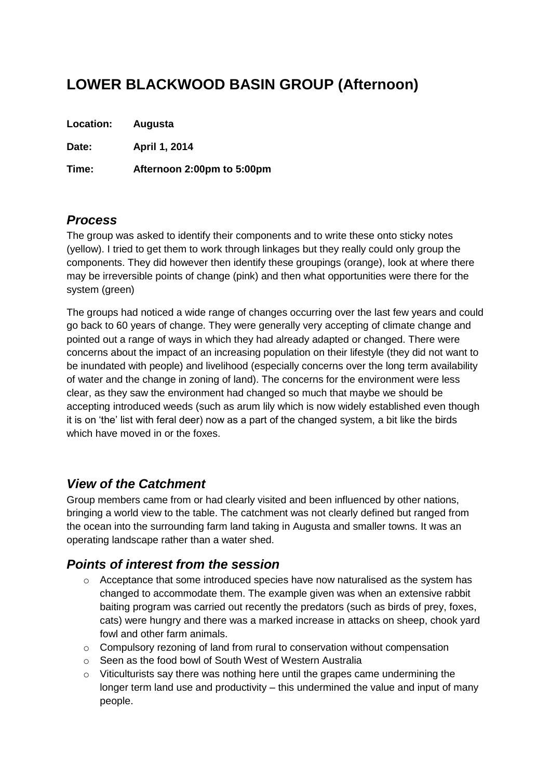# **LOWER BLACKWOOD BASIN GROUP (Afternoon)**

**Location: Augusta**

**Date: April 1, 2014**

**Time: Afternoon 2:00pm to 5:00pm**

## *Process*

The group was asked to identify their components and to write these onto sticky notes (yellow). I tried to get them to work through linkages but they really could only group the components. They did however then identify these groupings (orange), look at where there may be irreversible points of change (pink) and then what opportunities were there for the system (green)

The groups had noticed a wide range of changes occurring over the last few years and could go back to 60 years of change. They were generally very accepting of climate change and pointed out a range of ways in which they had already adapted or changed. There were concerns about the impact of an increasing population on their lifestyle (they did not want to be inundated with people) and livelihood (especially concerns over the long term availability of water and the change in zoning of land). The concerns for the environment were less clear, as they saw the environment had changed so much that maybe we should be accepting introduced weeds (such as arum lily which is now widely established even though it is on 'the' list with feral deer) now as a part of the changed system, a bit like the birds which have moved in or the foxes.

## *View of the Catchment*

Group members came from or had clearly visited and been influenced by other nations, bringing a world view to the table. The catchment was not clearly defined but ranged from the ocean into the surrounding farm land taking in Augusta and smaller towns. It was an operating landscape rather than a water shed.

## *Points of interest from the session*

- o Acceptance that some introduced species have now naturalised as the system has changed to accommodate them. The example given was when an extensive rabbit baiting program was carried out recently the predators (such as birds of prey, foxes, cats) were hungry and there was a marked increase in attacks on sheep, chook yard fowl and other farm animals.
- $\circ$  Compulsory rezoning of land from rural to conservation without compensation
- o Seen as the food bowl of South West of Western Australia
- $\circ$  Viticulturists say there was nothing here until the grapes came undermining the longer term land use and productivity – this undermined the value and input of many people.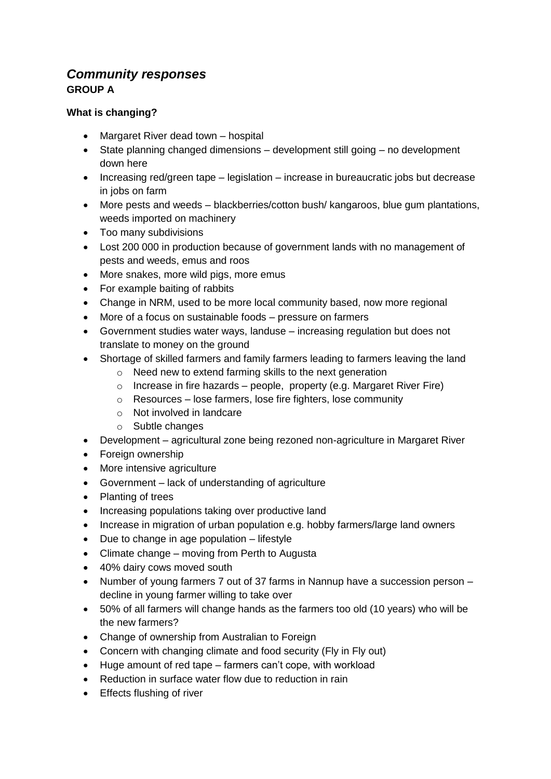## *Community responses* **GROUP A**

#### **What is changing?**

- Margaret River dead town hospital
- State planning changed dimensions development still going no development down here
- Increasing red/green tape legislation increase in bureaucratic jobs but decrease in jobs on farm
- More pests and weeds blackberries/cotton bush/ kangaroos, blue gum plantations, weeds imported on machinery
- Too many subdivisions
- Lost 200 000 in production because of government lands with no management of pests and weeds, emus and roos
- More snakes, more wild pigs, more emus
- For example baiting of rabbits
- Change in NRM, used to be more local community based, now more regional
- More of a focus on sustainable foods pressure on farmers
- Government studies water ways, landuse increasing regulation but does not translate to money on the ground
- Shortage of skilled farmers and family farmers leading to farmers leaving the land
	- o Need new to extend farming skills to the next generation
	- $\circ$  Increase in fire hazards people, property (e.g. Margaret River Fire)
	- o Resources lose farmers, lose fire fighters, lose community
	- o Not involved in landcare
	- o Subtle changes
- Development agricultural zone being rezoned non-agriculture in Margaret River
- Foreign ownership
- More intensive agriculture
- Government lack of understanding of agriculture
- Planting of trees
- Increasing populations taking over productive land
- Increase in migration of urban population e.g. hobby farmers/large land owners
- Due to change in age population lifestyle
- Climate change moving from Perth to Augusta
- 40% dairy cows moved south
- Number of young farmers 7 out of 37 farms in Nannup have a succession person decline in young farmer willing to take over
- 50% of all farmers will change hands as the farmers too old (10 years) who will be the new farmers?
- Change of ownership from Australian to Foreign
- Concern with changing climate and food security (Fly in Fly out)
- Huge amount of red tape farmers can't cope, with workload
- Reduction in surface water flow due to reduction in rain
- **Effects flushing of river**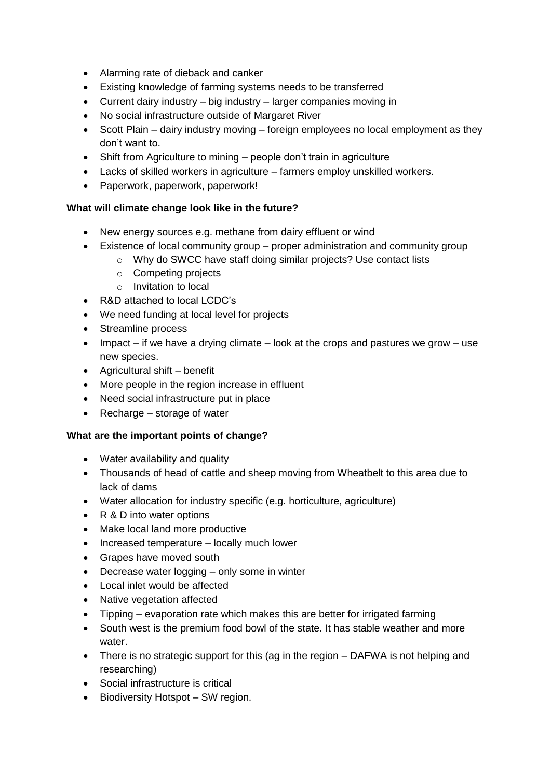- Alarming rate of dieback and canker
- Existing knowledge of farming systems needs to be transferred
- Current dairy industry big industry larger companies moving in
- No social infrastructure outside of Margaret River
- Scott Plain dairy industry moving foreign employees no local employment as they don't want to.
- Shift from Agriculture to mining people don't train in agriculture
- Lacks of skilled workers in agriculture farmers employ unskilled workers.
- Paperwork, paperwork, paperwork!

#### **What will climate change look like in the future?**

- New energy sources e.g. methane from dairy effluent or wind
- Existence of local community group proper administration and community group
	- o Why do SWCC have staff doing similar projects? Use contact lists
	- o Competing projects
	- o Invitation to local
- R&D attached to local LCDC's
- We need funding at local level for projects
- Streamline process
- $\bullet$  Impact if we have a drying climate look at the crops and pastures we grow use new species.
- Agricultural shift benefit
- More people in the region increase in effluent
- Need social infrastructure put in place
- Recharge storage of water

#### **What are the important points of change?**

- Water availability and quality
- Thousands of head of cattle and sheep moving from Wheatbelt to this area due to lack of dams
- Water allocation for industry specific (e.g. horticulture, agriculture)
- R & D into water options
- Make local land more productive
- Increased temperature locally much lower
- Grapes have moved south
- Decrease water logging only some in winter
- Local inlet would be affected
- Native vegetation affected
- Tipping evaporation rate which makes this are better for irrigated farming
- South west is the premium food bowl of the state. It has stable weather and more water.
- There is no strategic support for this (ag in the region DAFWA is not helping and researching)
- Social infrastructure is critical
- Biodiversity Hotspot SW region.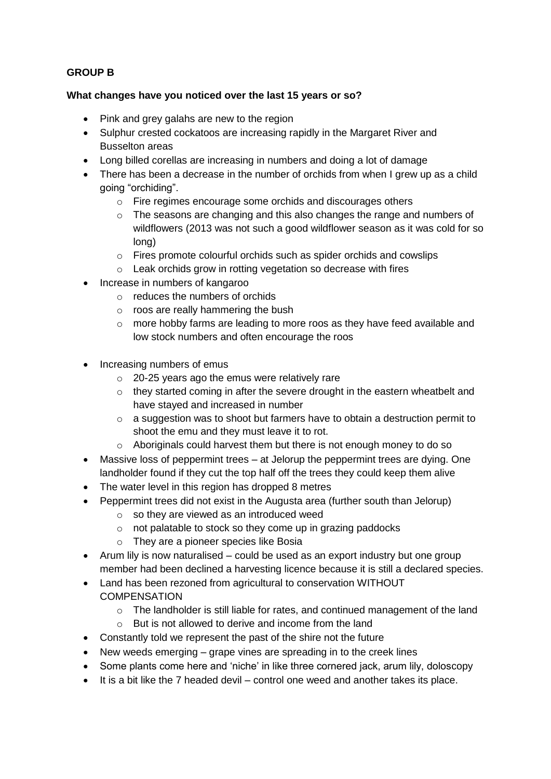#### **GROUP B**

#### **What changes have you noticed over the last 15 years or so?**

- Pink and grey galahs are new to the region
- Sulphur crested cockatoos are increasing rapidly in the Margaret River and Busselton areas
- Long billed corellas are increasing in numbers and doing a lot of damage
- There has been a decrease in the number of orchids from when I grew up as a child going "orchiding".
	- o Fire regimes encourage some orchids and discourages others
	- $\circ$  The seasons are changing and this also changes the range and numbers of wildflowers (2013 was not such a good wildflower season as it was cold for so long)
	- o Fires promote colourful orchids such as spider orchids and cowslips
	- o Leak orchids grow in rotting vegetation so decrease with fires
- Increase in numbers of kangaroo
	- $\circ$  reduces the numbers of orchids
	- o roos are really hammering the bush
	- o more hobby farms are leading to more roos as they have feed available and low stock numbers and often encourage the roos
- Increasing numbers of emus
	- o 20-25 years ago the emus were relatively rare
	- o they started coming in after the severe drought in the eastern wheatbelt and have stayed and increased in number
	- o a suggestion was to shoot but farmers have to obtain a destruction permit to shoot the emu and they must leave it to rot.
	- o Aboriginals could harvest them but there is not enough money to do so
- Massive loss of peppermint trees at Jelorup the peppermint trees are dying. One landholder found if they cut the top half off the trees they could keep them alive
- The water level in this region has dropped 8 metres
- Peppermint trees did not exist in the Augusta area (further south than Jelorup)
	- $\circ$  so they are viewed as an introduced weed
	- o not palatable to stock so they come up in grazing paddocks
	- o They are a pioneer species like Bosia
- Arum lily is now naturalised could be used as an export industry but one group member had been declined a harvesting licence because it is still a declared species.
- Land has been rezoned from agricultural to conservation WITHOUT **COMPENSATION** 
	- $\circ$  The landholder is still liable for rates, and continued management of the land
	- $\circ$  But is not allowed to derive and income from the land
- Constantly told we represent the past of the shire not the future
- New weeds emerging grape vines are spreading in to the creek lines
- Some plants come here and 'niche' in like three cornered jack, arum lily, doloscopy
- $\bullet$  It is a bit like the 7 headed devil control one weed and another takes its place.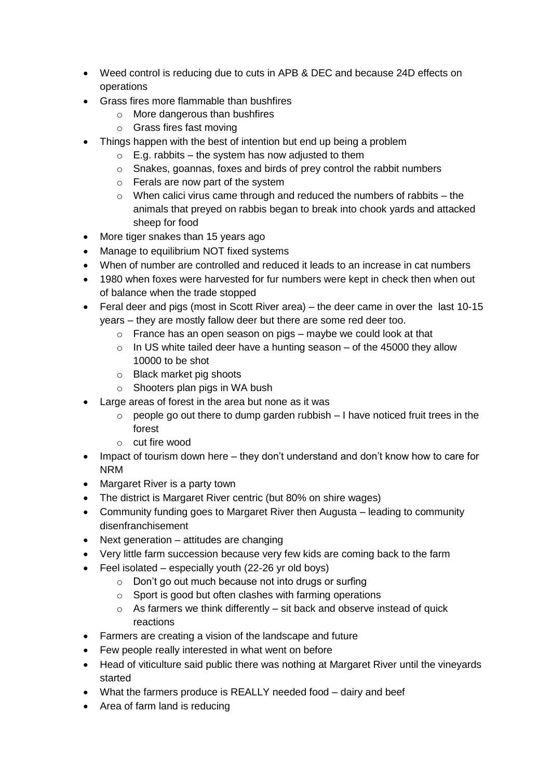- Weed control is reducing due to cuts in APB & DEC and because 24D effects on operations
- Grass fires more flammable than bushfires
	- o More dangerous than bushfires
	- o Grass fires fast moving
- Things happen with the best of intention but end up being a problem
	- $\circ$  E.g. rabbits the system has now adjusted to them
	- o Snakes, goannas, foxes and birds of prey control the rabbit numbers
	- o Ferals are now part of the system
	- o When calici virus came through and reduced the numbers of rabbits the animals that preyed on rabbis began to break into chook yards and attacked sheep for food
- More tiger snakes than 15 years ago
- Manage to equilibrium NOT fixed systems
- When of number are controlled and reduced it leads to an increase in cat numbers
- 1980 when foxes were harvested for fur numbers were kept in check then when out of balance when the trade stopped
- Feral deer and pigs (most in Scott River area) the deer came in over the last 10-15 years – they are mostly fallow deer but there are some red deer too.
	- $\circ$  France has an open season on pigs maybe we could look at that
	- $\circ$  In US white tailed deer have a hunting season of the 45000 they allow 10000 to be shot
	- o Black market pig shoots
	- $\circ$  Shooters plan pigs in WA bush
- Large areas of forest in the area but none as it was
	- $\circ$  people go out there to dump garden rubbish  $-1$  have noticed fruit trees in the forest
	- o cut fire wood
- Impact of tourism down here they don't understand and don't know how to care for NRM
- Margaret River is a party town
- The district is Margaret River centric (but 80% on shire wages)
- Community funding goes to Margaret River then Augusta leading to community disenfranchisement
- Next generation attitudes are changing
- Very little farm succession because very few kids are coming back to the farm
- Feel isolated especially youth (22-26 yr old boys)
	- o Don't go out much because not into drugs or surfing
	- o Sport is good but often clashes with farming operations
	- $\circ$  As farmers we think differently sit back and observe instead of quick reactions
- Farmers are creating a vision of the landscape and future
- Few people really interested in what went on before
- Head of viticulture said public there was nothing at Margaret River until the vineyards started
- What the farmers produce is REALLY needed food dairy and beef
- Area of farm land is reducing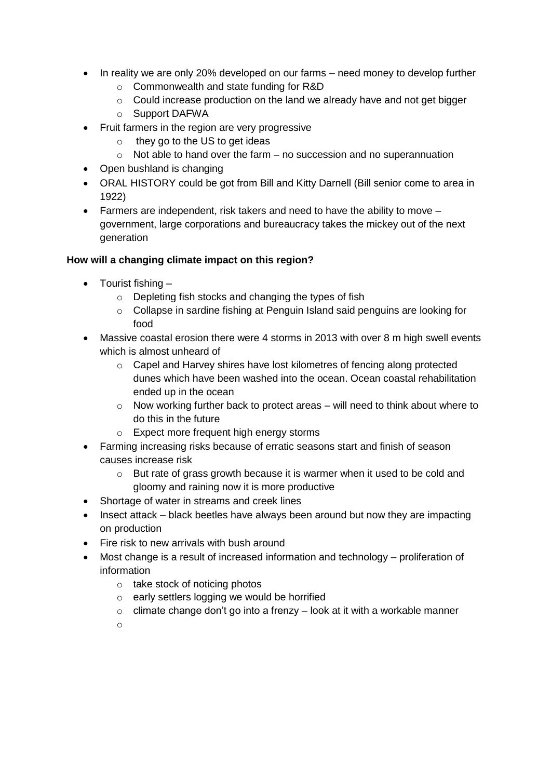- In reality we are only 20% developed on our farms need money to develop further
	- o Commonwealth and state funding for R&D
	- $\circ$  Could increase production on the land we already have and not get bigger
	- o Support DAFWA
- Fruit farmers in the region are very progressive
	- $\circ$  they go to the US to get ideas
	- $\circ$  Not able to hand over the farm no succession and no superannuation
- Open bushland is changing
- ORAL HISTORY could be got from Bill and Kitty Darnell (Bill senior come to area in 1922)
- Farmers are independent, risk takers and need to have the ability to move government, large corporations and bureaucracy takes the mickey out of the next generation

#### **How will a changing climate impact on this region?**

- $\bullet$  Tourist fishing  $$ 
	- o Depleting fish stocks and changing the types of fish
	- $\circ$  Collapse in sardine fishing at Penguin Island said penguins are looking for food
- Massive coastal erosion there were 4 storms in 2013 with over 8 m high swell events which is almost unheard of
	- o Capel and Harvey shires have lost kilometres of fencing along protected dunes which have been washed into the ocean. Ocean coastal rehabilitation ended up in the ocean
	- o Now working further back to protect areas will need to think about where to do this in the future
	- o Expect more frequent high energy storms
- Farming increasing risks because of erratic seasons start and finish of season causes increase risk
	- $\circ$  But rate of grass growth because it is warmer when it used to be cold and gloomy and raining now it is more productive
- Shortage of water in streams and creek lines
- Insect attack black beetles have always been around but now they are impacting on production
- Fire risk to new arrivals with bush around
- Most change is a result of increased information and technology proliferation of information
	- o take stock of noticing photos
	- o early settlers logging we would be horrified
	- $\circ$  climate change don't go into a frenzy look at it with a workable manner
	- o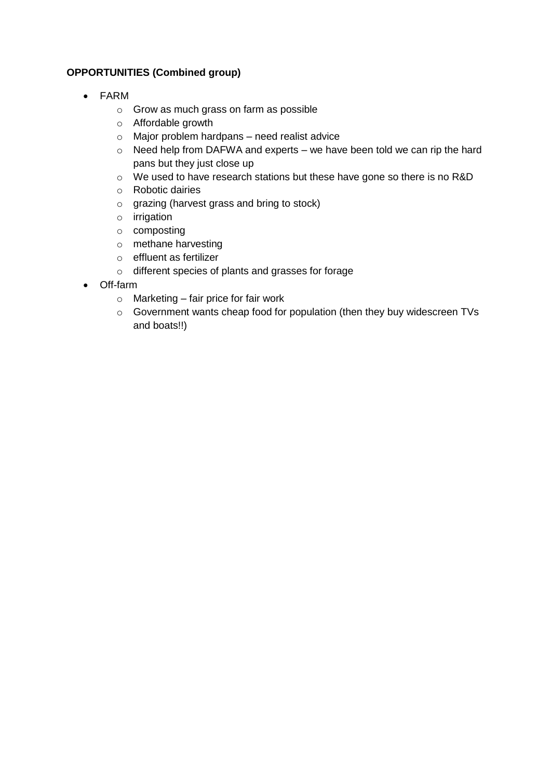#### **OPPORTUNITIES (Combined group)**

- FARM
	- o Grow as much grass on farm as possible
	- o Affordable growth
	- o Major problem hardpans need realist advice
	- o Need help from DAFWA and experts we have been told we can rip the hard pans but they just close up
	- o We used to have research stations but these have gone so there is no R&D
	- o Robotic dairies
	- o grazing (harvest grass and bring to stock)
	- o irrigation
	- o composting
	- o methane harvesting
	- o effluent as fertilizer
	- o different species of plants and grasses for forage
- Off-farm
	- o Marketing fair price for fair work
	- o Government wants cheap food for population (then they buy widescreen TVs and boats!!)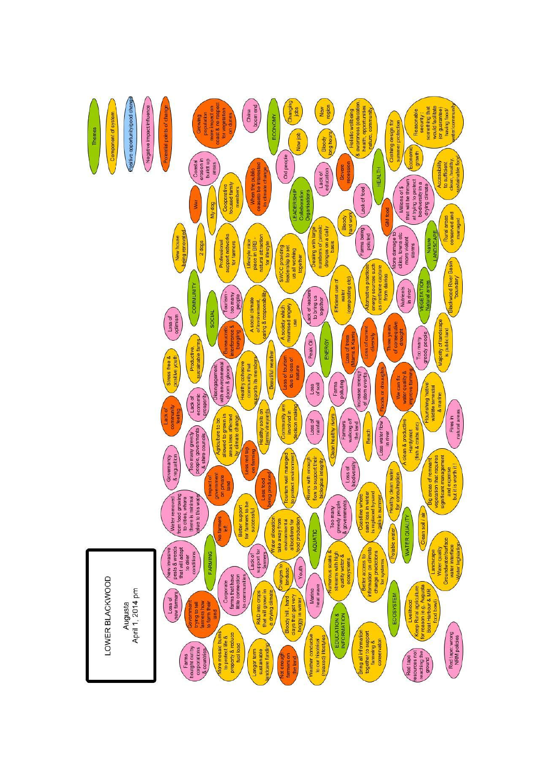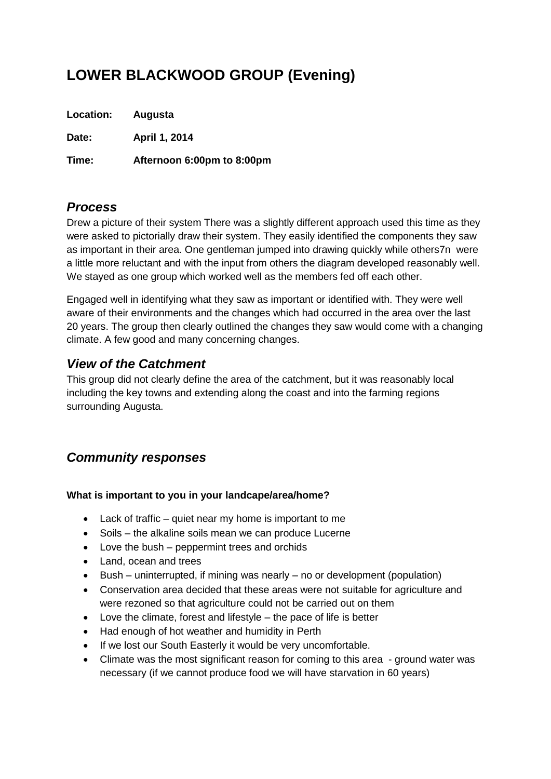# **LOWER BLACKWOOD GROUP (Evening)**

**Location: Augusta**

**Date: April 1, 2014**

**Time: Afternoon 6:00pm to 8:00pm**

## *Process*

Drew a picture of their system There was a slightly different approach used this time as they were asked to pictorially draw their system. They easily identified the components they saw as important in their area. One gentleman jumped into drawing quickly while others7n were a little more reluctant and with the input from others the diagram developed reasonably well. We stayed as one group which worked well as the members fed off each other.

Engaged well in identifying what they saw as important or identified with. They were well aware of their environments and the changes which had occurred in the area over the last 20 years. The group then clearly outlined the changes they saw would come with a changing climate. A few good and many concerning changes.

## *View of the Catchment*

This group did not clearly define the area of the catchment, but it was reasonably local including the key towns and extending along the coast and into the farming regions surrounding Augusta.

## *Community responses*

#### **What is important to you in your landcape/area/home?**

- Lack of traffic quiet near my home is important to me
- Soils the alkaline soils mean we can produce Lucerne
- Love the bush peppermint trees and orchids
- Land, ocean and trees
- $\bullet$  Bush uninterrupted, if mining was nearly no or development (population)
- Conservation area decided that these areas were not suitable for agriculture and were rezoned so that agriculture could not be carried out on them
- Love the climate, forest and lifestyle the pace of life is better
- Had enough of hot weather and humidity in Perth
- If we lost our South Easterly it would be very uncomfortable.
- Climate was the most significant reason for coming to this area ground water was necessary (if we cannot produce food we will have starvation in 60 years)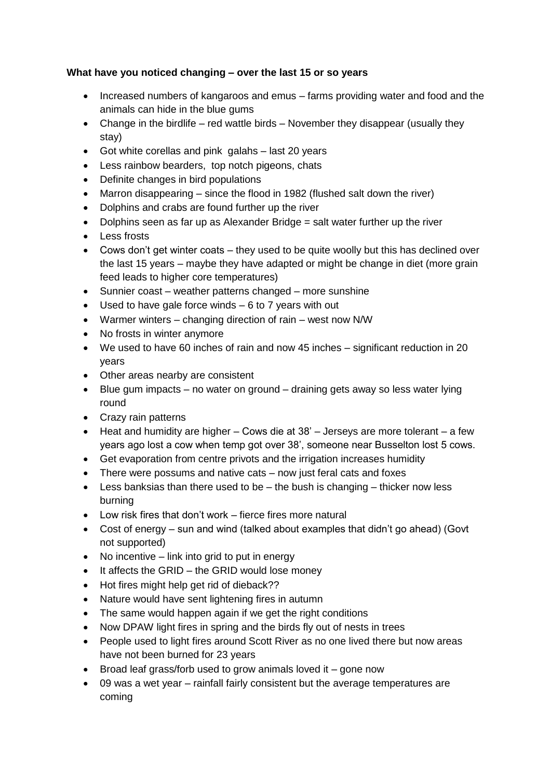#### **What have you noticed changing – over the last 15 or so years**

- Increased numbers of kangaroos and emus farms providing water and food and the animals can hide in the blue gums
- Change in the birdlife red wattle birds November they disappear (usually they stay)
- Got white corellas and pink galahs last 20 years
- Less rainbow bearders, top notch pigeons, chats
- Definite changes in bird populations
- Marron disappearing since the flood in 1982 (flushed salt down the river)
- Dolphins and crabs are found further up the river
- Dolphins seen as far up as Alexander Bridge = salt water further up the river
- Less frosts
- Cows don't get winter coats they used to be quite woolly but this has declined over the last 15 years – maybe they have adapted or might be change in diet (more grain feed leads to higher core temperatures)
- Sunnier coast weather patterns changed more sunshine
- $\bullet$  Used to have gale force winds  $-6$  to 7 years with out
- Warmer winters changing direction of rain west now N/W
- No frosts in winter anymore
- We used to have 60 inches of rain and now 45 inches significant reduction in 20 years
- Other areas nearby are consistent
- Blue gum impacts no water on ground draining gets away so less water lying round
- Crazy rain patterns
- Heat and humidity are higher Cows die at 38' Jerseys are more tolerant a few years ago lost a cow when temp got over 38', someone near Busselton lost 5 cows.
- Get evaporation from centre privots and the irrigation increases humidity
- There were possums and native cats now just feral cats and foxes
- **•** Less banksias than there used to be  $-$  the bush is changing  $-$  thicker now less burning
- Low risk fires that don't work fierce fires more natural
- Cost of energy sun and wind (talked about examples that didn't go ahead) (Govt not supported)
- $\bullet$  No incentive link into grid to put in energy
- It affects the GRID the GRID would lose money
- Hot fires might help get rid of dieback??
- Nature would have sent lightening fires in autumn
- The same would happen again if we get the right conditions
- Now DPAW light fires in spring and the birds fly out of nests in trees
- People used to light fires around Scott River as no one lived there but now areas have not been burned for 23 years
- $\bullet$  Broad leaf grass/forb used to grow animals loved it gone now
- 09 was a wet year rainfall fairly consistent but the average temperatures are coming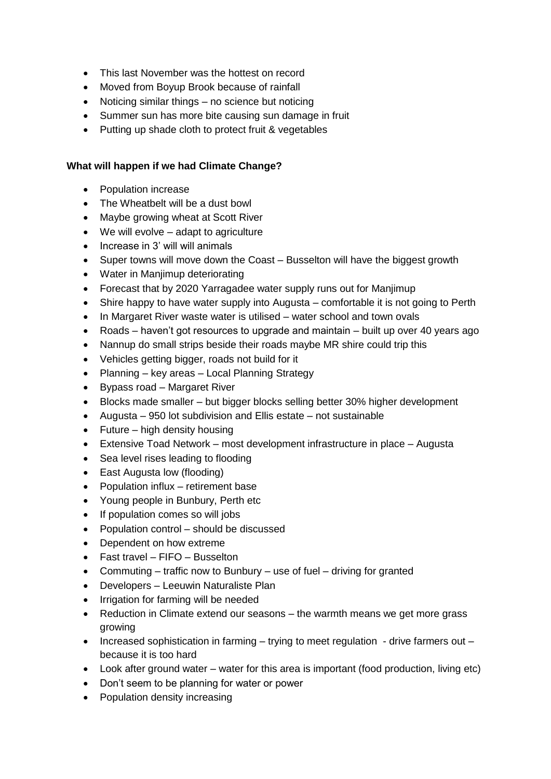- This last November was the hottest on record
- Moved from Boyup Brook because of rainfall
- Noticing similar things no science but noticing
- Summer sun has more bite causing sun damage in fruit
- Putting up shade cloth to protect fruit & vegetables

#### **What will happen if we had Climate Change?**

- Population increase
- The Wheatbelt will be a dust bowl
- Maybe growing wheat at Scott River
- We will evolve adapt to agriculture
- Increase in 3' will will animals
- Super towns will move down the Coast Busselton will have the biggest growth
- Water in Manjimup deteriorating
- Forecast that by 2020 Yarragadee water supply runs out for Manjimup
- Shire happy to have water supply into Augusta comfortable it is not going to Perth
- In Margaret River waste water is utilised water school and town ovals
- Roads haven't got resources to upgrade and maintain built up over 40 years ago
- Nannup do small strips beside their roads maybe MR shire could trip this
- Vehicles getting bigger, roads not build for it
- Planning key areas Local Planning Strategy
- Bypass road Margaret River
- Blocks made smaller but bigger blocks selling better 30% higher development
- Augusta 950 lot subdivision and Ellis estate not sustainable
- $\bullet$  Future high density housing
- Extensive Toad Network most development infrastructure in place Augusta
- Sea level rises leading to flooding
- East Augusta low (flooding)
- Population influx retirement base
- Young people in Bunbury, Perth etc
- If population comes so will jobs
- Population control should be discussed
- Dependent on how extreme
- Fast travel FIFO Busselton
- Commuting traffic now to Bunbury use of fuel driving for granted
- Developers Leeuwin Naturaliste Plan
- Irrigation for farming will be needed
- Reduction in Climate extend our seasons the warmth means we get more grass growing
- Increased sophistication in farming trying to meet regulation drive farmers out because it is too hard
- Look after ground water water for this area is important (food production, living etc)
- Don't seem to be planning for water or power
- Population density increasing